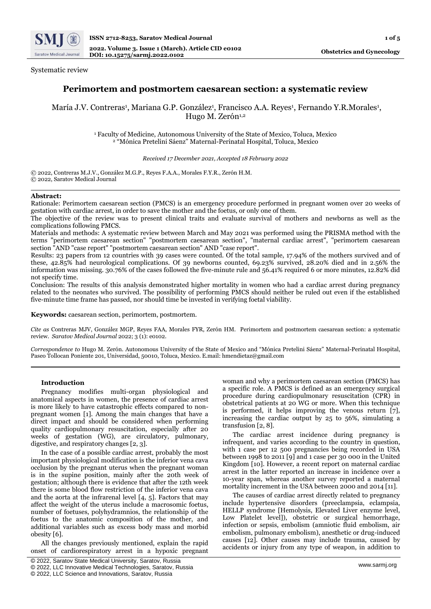

# Systematic review

# **Perimortem and postmortem caesarean section: a systematic review**

María J.V. Contreras<sup>1</sup>, Mariana G.P. González<sup>1</sup>, Francisco A.A. Reyes<sup>1</sup>, Fernando Y.R.Morales<sup>1</sup>, Hugo M. Zerón<sup>1,2</sup>

> <sup>1</sup> Faculty of Medicine, Autonomous University of the State of Mexico, Toluca, Mexico <sup>2</sup> "Mónica Pretelini Sáenz" Maternal-Perinatal Hospital, Toluca, Mexico

> > *Received 17 December 2021, Accepted 18 February 2022*

© 2022, Contreras M.J.V., González M.G.P., Reyes F.A.A., Morales F.Y.R., Zerón H.M. © 2022, Saratov Medical Journal

# **Abstract:**

Rationale: Perimortem caesarean section (PMCS) is an emergency procedure performed in pregnant women over 20 weeks of gestation with cardiac arrest, in order to save the mother and the foetus, or only one of them.

The objective of the review was to present clinical traits and evaluate survival of mothers and newborns as well as the complications following PMCS.

Materials and methods: A systematic review between March and May 2021 was performed using the PRISMA method with the terms "perimortem caesarean section" "postmortem caesarean section", "maternal cardiac arrest", "perimortem caesarean section "AND "case report" "postmortem caesarean section" AND "case report".

Results: 23 papers from 12 countries with 39 cases were counted. Of the total sample, 17.94% of the mothers survived and of these, 42.85% had neurological complications. Of 39 newborns counted, 69.23% survived, 28.20% died and in 2.56% the information was missing. 30.76% of the cases followed the five-minute rule and 56.41% required 6 or more minutes, 12.82% did not specify time.

Conclusion: The results of this analysis demonstrated higher mortality in women who had a cardiac arrest during pregnancy related to the neonates who survived. The possibility of performing PMCS should neither be ruled out even if the established five-minute time frame has passed, nor should time be invested in verifying foetal viability.

**Keywords:** caesarean section, perimortem, postmortem.

*Cite as* Contreras MJV, González MGP, Reyes FAA, Morales FYR, Zerón HM. Perimortem and postmortem caesarean section: a systematic review. *Saratov Medical Journal* 2022; 3 (1): e0102.

*Correspondence to* Hugo M. Zerón. Autonomous University of the State of Mexico and "Mónica Pretelini Sáenz" Maternal-Perinatal Hospital, Paseo Tollocan Poniente 201, Universidad, 50010, Toluca, Mexico. E.mail: hmendietaz@gmail.com

# **Introduction**

Pregnancy modifies multi-organ physiological and anatomical aspects in women, the presence of cardiac arrest is more likely to have catastrophic effects compared to nonpregnant women [1]. Among the main changes that have a direct impact and should be considered when performing quality cardiopulmonary resuscitation, especially after 20 weeks of gestation (WG), are circulatory, pulmonary, digestive, and respiratory changes [2, 3].

In the case of a possible cardiac arrest, probably the most important physiological modification is the inferior vena cava occlusion by the pregnant uterus when the pregnant woman is in the supine position, mainly after the 20th week of gestation; although there is evidence that after the 12th week there is some blood flow restriction of the inferior vena cava and the aorta at the infrarenal level [4, 5]. Factors that may affect the weight of the uterus include a macrosomic foetus, number of foetuses, polyhydramnios, the relationship of the foetus to the anatomic composition of the mother, and additional variables such as excess body mass and morbid obesity [6].

All the changes previously mentioned, explain the rapid onset of cardiorespiratory arrest in a hypoxic pregnant

woman and why a perimortem caesarean section (PMCS) has a specific role. A PMCS is defined as an emergency surgical procedure during cardiopulmonary resuscitation (CPR) in obstetrical patients at 20 WG or more. When this technique is performed, it helps improving the venous return  $\tilde{[7]}$ , increasing the cardiac output by 25 to 56%, simulating a transfusion [2, 8].

The cardiac arrest incidence during pregnancy is infrequent, and varies according to the country in question, with 1 case per 12 500 pregnancies being recorded in USA between 1998 to 2011 [9] and 1 case per 30 000 in the United Kingdom [10]. However, a recent report on maternal cardiac arrest in the latter reported an increase in incidence over a 10-year span, whereas another survey reported a maternal mortality increment in the USA between 2000 and 2014 [11].

The causes of cardiac arrest directly related to pregnancy include hypertensive disorders (preeclampsia, eclampsia, HELLP syndrome [Hemolysis, Elevated Liver enzyme level, Low Platelet level]), obstetric or surgical hemorrhage, infection or sepsis, embolism (amniotic fluid embolism, air embolism, pulmonary embolism), anesthetic or drug-induced causes [12]. Other causes may include trauma, caused by accidents or injury from any type of weapon, in addition to

<sup>©</sup> 2022, Saratov State Medical University, Saratov, Russia

<sup>©</sup> 2022, LLC Innovative Medical Technologies, Saratov, Russia

<sup>©</sup> 2022, LLC Science and Innovations, Saratov, Russia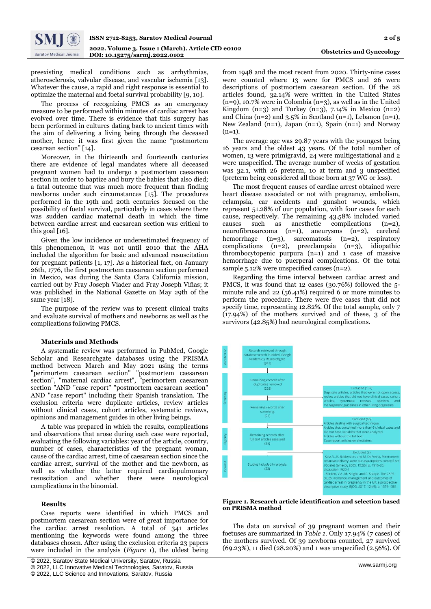

preexisting medical conditions such as arrhythmias, atherosclerosis, valvular disease, and vascular ischemia [13]. Whatever the cause, a rapid and right response is essential to optimize the maternal and foetal survival probability [9, 10].

The process of recognizing PMCS as an emergency measure to be performed within minutes of cardiac arrest has evolved over time. There is evidence that this surgery has been performed in cultures dating back to ancient times with the aim of delivering a living being through the deceased mother, hence it was first given the name "postmortem cesarean section" [14].

Moreover, in the thirteenth and fourteenth centuries there are evidence of legal mandates where all deceased pregnant women had to undergo a postmortem caesarean section in order to baptize and bury the babies that also died; a fatal outcome that was much more frequent than finding newborns under such circumstances [15]. The procedures performed in the 19th and 20th centuries focused on the possibility of foetal survival, particularly in cases where there was sudden cardiac maternal death in which the time between cardiac arrest and caesarean section was critical to this goal  $[16]$ .

Given the low incidence or underestimated frequency of this phenomenon, it was not until 2010 that the AHA included the algorithm for basic and advanced resuscitation for pregnant patients [1, 17]. As a historical fact, on January 26th, 1776, the first postmortem caesarean section performed in Mexico, was during the Santa Clara California mission, carried out by Fray Joseph Viader and Fray Joseph Viñas; it was published in the National Gazette on May 29th of the same year [18].

The purpose of the review was to present clinical traits and evaluate survival of mothers and newborns as well as the complications following PMCS.

#### **Materials and Methods**

A systematic review was performed in PubMed, Google Scholar and Researchgate databases using the PRISMA method between March and May 2021 using the terms "perimortem caesarean section" "postmortem caesarean section", "maternal cardiac arrest", "perimortem caesarean section "AND "case report" "postmortem caesarean section" AND "case report" including their Spanish translation. The exclusion criteria were duplicate articles, review articles without clinical cases, cohort articles, systematic reviews, opinions and management guides in other living beings.

A table was prepared in which the results, complications and observations that arose during each case were reported, evaluating the following variables: year of the article, country, number of cases, characteristics of the pregnant woman, cause of the cardiac arrest, time of caesarean section since the cardiac arrest, survival of the mother and the newborn, as well as whether the latter required cardiopulmonary resuscitation and whether there were neurological complications in the binomial.

#### **Results**

Case reports were identified in which PMCS and postmortem caesarean section were of great importance for the cardiac arrest resolution. A total of 341 articles mentioning the keywords were found among the three databases chosen. After using the exclusion criteria 23 papers were included in the analysis (*Figure 1*), the oldest being

from 1948 and the most recent from 2020. Thirty-nine cases were counted where 13 were for PMCS and 26 were descriptions of postmortem caesarean section. Of the 28 articles found, 32.14% were written in the United States (n=9), 10.7% were in Colombia (n=3), as well as in the United Kingdom  $(n=3)$  and Turkey  $(n=3)$ , 7.14% in Mexico  $(n=2)$ and China (n=2) and  $3.5\%$  in Scotland (n=1), Lebanon (n=1), New Zealand (n=1), Japan (n=1), Spain (n=1) and Norway  $(n=1)$ .

The average age was 29.87 years with the youngest being 16 years and the oldest 43 years. Of the total number of women, 13 were primigravid, 24 were multigestational and 2 were unspecified. The average number of weeks of gestation was 32.1, with 26 preterm, 10 at term and 3 unspecified (preterm being considered all those born at 37 WG or less).

The most frequent causes of cardiac arrest obtained were heart disease associated or not with pregnancy, embolism, eclampsia, car accidents and gunshot wounds, which represent 51.28% of our population, with four cases for each cause, respectively. The remaining 43.58% included varied causes such as anesthetic complications (n=2), neurofibrosarcoma (n=1), aneurysms (n=2), cerebral hemorrhage (n=3), sarcomatosis (n=2), respiratory complications (n=2), preeclampsia (n=3), idiopathic thrombocytopenic purpura  $(n=1)$  and 1 case of massive hemorrhage due to puerperal complications. Of the total sample 5.12% were unspecified causes (n=2).

Regarding the time interval between cardiac arrest and PMCS, it was found that 12 cases (30.76%) followed the 5 minute rule and 22 (56.41%) required 6 or more minutes to perform the procedure. There were five cases that did not specify time, representing 12.82%. Of the total sample, only 7 (17.94%) of the mothers survived and of these, 3 of the survivors (42.85%) had neurological complications.



#### **Figure 1. Research article identification and selection based on PRISMA method**

The data on survival of 39 pregnant women and their foetuses are summarized in *Table 1*. Only 17.94% (7 cases) of the mothers survived. Of 39 newborns counted, 27 survived (69.23%), 11 died (28.20%) and 1 was unspecified (2.56%). Of

<sup>[</sup> © 2022, Saratov State Medical University, Saratov, Russia

<sup>©</sup> 2022, LLC Innovative Medical Technologies, Saratov, Russia

<sup>©</sup> 2022, LLC Science and Innovations, Saratov, Russia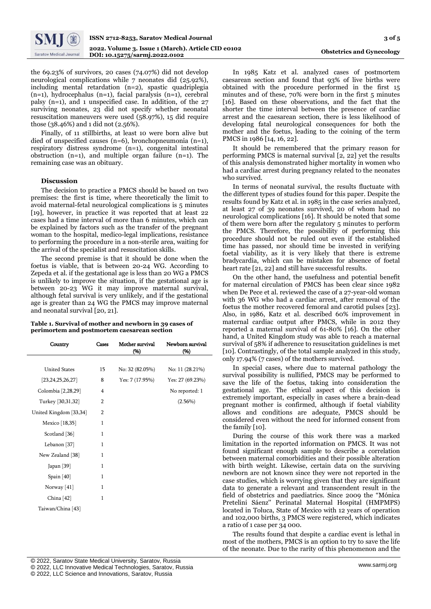

the 69.23% of survivors, 20 cases (74.07%) did not develop neurological complications while 7 neonates did (25.92%), including mental retardation (n=2), spastic quadriplegia (n=1), hydrocephalus (n=1), facial paralysis (n=1), cerebral palsy (n=1), and 1 unspecified case. In addition, of the 27 surviving neonates, 23 did not specify whether neonatal resuscitation maneuvers were used (58.97%), 15 did require those (38.46%) and 1 did not (2.56%).

Finally, of 11 stillbirths, at least 10 were born alive but died of unspecified causes (n=6), bronchopneumonia (n=1), respiratory distress syndrome (n=1), congenital intestinal obstruction  $(n=1)$ , and multiple organ failure  $(n=1)$ . The remaining case was an obituary.

#### **Discussion**

The decision to practice a PMCS should be based on two premises: the first is time, where theoretically the limit to avoid maternal-fetal neurological complications is 5 minutes [19], however, in practice it was reported that at least 22 cases had a time interval of more than 6 minutes, which can be explained by factors such as the transfer of the pregnant woman to the hospital, medico-legal implications, resistance to performing the procedure in a non-sterile area, waiting for the arrival of the specialist and resuscitation skills.

The second premise is that it should be done when the foetus is viable, that is between 20-24 WG. According to Zepeda et al. if the gestational age is less than 20 WG a PMCS is unlikely to improve the situation, if the gestational age is between 20-23 WG it may improve maternal survival, although fetal survival is very unlikely, and if the gestational age is greater than 24 WG the PMCS may improve maternal and neonatal survival [20, 21].

**Table 1. Survival of mother and newborn in 39 cases of perimortem and postmortem caesarean section**

| Country                  | Cases          | Mother survival<br>(%) | Newborn survival<br>(96) |
|--------------------------|----------------|------------------------|--------------------------|
|                          |                |                        |                          |
| <b>United States</b>     | 15             | No: 32 (82.05%)        | No: 11 (28.21%)          |
| [23, 24, 25, 26, 27]     | 8              | Yes: $7(17.95%)$       | Yes: 27 (69.23%)         |
| Colombia [2,28,29]       | 4              |                        | No reported: 1           |
| Turkey [30,31,32]        | $\overline{2}$ |                        | $(2.56\%)$               |
| United Kingdom [33,34]   | $\overline{2}$ |                        |                          |
| Mexico [18,35]           | 1              |                        |                          |
| Scotland <sup>[36]</sup> | 1              |                        |                          |
| Lebanon [37]             | 1              |                        |                          |
| New Zealand [38]         | 1              |                        |                          |
| Japan $[39]$             | $\mathbf{1}$   |                        |                          |
| Spain $[40]$             | 1              |                        |                          |
| Norway [41]              | 1              |                        |                          |
| China $[42]$             | $\mathbf{1}$   |                        |                          |
| Taiwan/China [43]        |                |                        |                          |
|                          |                |                        |                          |

In 1985 Katz et al. analyzed cases of postmortem caesarean section and found that 93% of live births were obtained with the procedure performed in the first 15 minutes and of these, 70% were born in the first 5 minutes [16]. Based on these observations, and the fact that the shorter the time interval between the presence of cardiac arrest and the caesarean section, there is less likelihood of developing fatal neurological consequences for both the mother and the foetus, leading to the coining of the term PMCS in 1986 [14, 16, 22].

It should be remembered that the primary reason for performing PMCS is maternal survival  $\overline{2}$ , 22] yet the results of this analysis demonstrated higher mortality in women who had a cardiac arrest during pregnancy related to the neonates who survived.

In terms of neonatal survival, the results fluctuate with the different types of studies found for this paper. Despite the results found by Katz et al. in 1985 in the case series analyzed, at least 27 of 39 neonates survived, 20 of whom had no neurological complications [16]. It should be noted that some of them were born after the regulatory 5 minutes to perform the PMCS. Therefore, the possibility of performing this procedure should not be ruled out even if the established time has passed, nor should time be invested in verifying foetal viability, as it is very likely that there is extreme bradycardia, which can be mistaken for absence of foetal heart rate [21, 22] and still have successful results.

On the other hand, the usefulness and potential benefit for maternal circulation of PMCS has been clear since 1982 when De Pece et al. reviewed the case of a 27-year-old woman with 36 WG who had a cardiac arrest, after removal of the foetus the mother recovered femoral and carotid pulses [23]. Also, in 1986, Katz et al. described 60% improvement in maternal cardiac output after PMCS, while in 2012 they reported a maternal survival of 61-80% [16]. On the other hand, a United Kingdom study was able to reach a maternal survival of 58% if adherence to resuscitation guidelines is met [10]. Contrastingly, of the total sample analyzed in this study, only 17.94% (7 cases) of the mothers survived.

In special cases, where due to maternal pathology the survival possibility is nullified, PMCS may be performed to save the life of the foetus, taking into consideration the gestational age. The ethical aspect of this decision is extremely important, especially in cases where a brain-dead pregnant mother is confirmed, although if foetal viability allows and conditions are adequate, PMCS should be considered even without the need for informed consent from the family [10].

During the course of this work there was a marked limitation in the reported information on PMCS. It was not found significant enough sample to describe a correlation between maternal comorbidities and their possible alteration with birth weight. Likewise, certain data on the surviving newborn are not known since they were not reported in the case studies, which is worrying given that they are significant data to generate a relevant and transcendent result in the field of obstetrics and paediatrics. Since 2009 the "Mónica Pretelini Sáenz'' Perinatal Maternal Hospital (HMPMPS) located in Toluca, State of Mexico with 12 years of operation and 102,000 births, 3 PMCS were registered, which indicates a ratio of 1 case per 34 000.

The results found that despite a cardiac event is lethal in most of the mothers, PMCS is an option to try to save the life of the neonate. Due to the rarity of this phenomenon and the

© 2022, LLC Innovative Medical Technologies, Saratov, Russia

© 2022, LLC Science and Innovations, Saratov, Russia

<sup>[</sup> © 2022, Saratov State Medical University, Saratov, Russia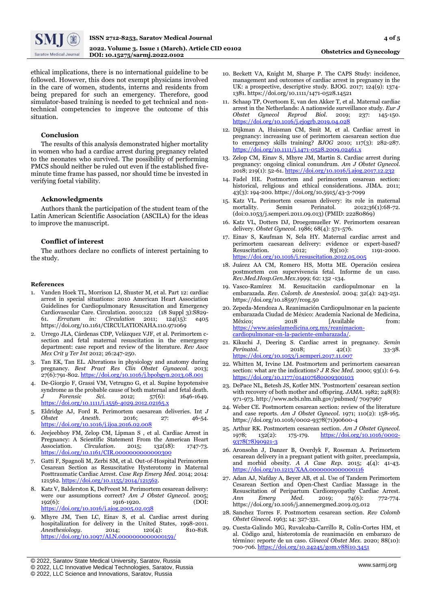

**Obstetrics and Gynecology**

ethical implications, there is no international guideline to be followed. However, this does not exempt physicians involved in the care of women, students, interns and residents from being prepared for such an emergency. Therefore, good simulator-based training is needed to get technical and nontechnical competencies to improve the outcome of this situation.

### **Conclusion**

The results of this analysis demonstrated higher mortality in women who had a cardiac arrest during pregnancy related to the neonates who survived. The possibility of performing PMCS should neither be ruled out even if the established fiveminute time frame has passed, nor should time be invested in verifying foetal viability.

#### **Acknowledgments**

Authors thank the participation of the student team of the Latin American Scientific Association (ASCILA) for the ideas to improve the manuscript.

# **Conflict of interest**

The authors declare no conflicts of interest pertaining to the study.

#### **References**

- 1. Vanden Hoek TL, Morrison LJ, Shuster M, et al. Part 12: cardiac arrest in special situations: 2010 American Heart Association Guidelines for Cardiopulmonary Resuscitation and Emergency Cardiovascular Care. Circulation. 2010;122 (18 Suppl 3):S829-61. Erratum in: Circulation 2011; 124(15): e405 61. *Erratum in: Circulation* 2011; 124(15): e405 https://doi.org/10.1161/CIRCULATIONAHA.110.971069
- 2. Urrego JLA, Cárdenas CDP, Velázquez VJF, et al. Perimortem csection and fetal maternal resuscitation in the emergency department: case report and review of the literature. *Rev Asoc Mex Crit y Ter Int* 2012; 26:247-250.
- 3. Tan EK, Tan EL. Alterations in physiology and anatomy during pregnancy. *Best Pract Res Clin Obstet Gynaecol.* 2013; 27(6):791-802[. https://doi.org/10.1016/j.bpobgyn.2013.08.001](https://doi.org/10.1016/j.bpobgyn.2013.08.001)
- 4. De-Giorgio F, Grassi VM, Vetrugno G, et al. Supine hypotensive syndrome as the probable cause of both maternal and fetal death. *J Forensic Sci*. 2012; 57(6): 1646-1649. <https://doi.org/10.1111/j.1556-4029.2012.02165.x>
- 5. Eldridge AJ, Ford R. Perimortem caesarean deliveries. Int *J Obstet Anesth*. 2016; 27: 46-54. <https://doi.org/10.1016/j.ijoa.2016.02.008>
- 6. Jeejeebhoy FM, Zelop CM, Lipman S , et al. Cardiac Arrest in Pregnancy: A Scientific Statement From the American Heart Association. Circulation. 2015; 132(18): 1747-73. Association. *Circulation*. 2015; 132(18): 1747-73. <https://doi.org/10.1161/CIR.0000000000000300>
- 7. Gatti F, Spagnoli M, Zerbi SM, et al. Out-of-Hospital Perimortem Cesarean Section as Resuscitative Hysterotomy in Maternal Posttraumatic Cardiac Arrest. *Case Rep Emerg Med*. 2014; 2014: 121562[. https://doi.org/10.1155/2014/121562.](https://doi.org/10.1155/2014/121562)
- 8. Katz V, Balderston K, DeFreest M. Perimortem cesarean delivery: were our assumptions correct? *Am J Obstet Gynecol.* 2005;<br>1926): 1916-1920. (DOI:  $192(6)$ :  $1916-1920$ . <https://doi.org/10.1016/j.ajog.2005.02.038>
- 9. Mhyre JM, Tsen LC, Einav S, et al. Cardiac arrest during hospitalization for delivery in the United States, 1998-2011. *Anesthesiology*. 2014; 120(4): 810-818. <https://doi.org/10.1097/ALN.0000000000000159/>
- 10. Beckett VA, Knight M, Sharpe P. The CAPS Study: incidence, management and outcomes of cardiac arrest in pregnancy in the UK: a prospective, descriptive study. BJOG. 2017; 124(9): 1374- 1381. https://doi.org/10.1111/1471-0528.14521
- 11. Schaap TP, Overtoom E, van den Akker T, et al. Maternal cardiac arrest in the Netherlands: A nationwide surveillance study. *Eur J Obstet Gynecol Reprod Biol*. 2019; 237: 145-150. <https://doi.org/10.1016/j.ejogrb.2019.04.028>
- 12. Dijkman A, Huisman CM, Smit M, et al. Cardiac arrest in pregnancy: increasing use of perimortem caesarean section due to emergency skills training? *BJOG* 2010; 117(3): 282-287. <https://doi.org/10.1111/j.1471-0528.2009.02461.x>
- 13. Zelop CM, Einav S, Mhyre JM, Martin S. Cardiac arrest during pregnancy: ongoing clinical conundrum. *Am J Obstet Gynecol.* 2018; 219(1): 52-61[. https://doi.org/10.1016/j.ajog.2017.12.232](https://doi.org/10.1016/j.ajog.2017.12.232)
- 14. Fadel HE. Postmortem and perimortem cesarean section: historical, religious and ethical considerations. JIMA. 2011; 43(3): 194-200. https://doi.org/10.5915/43-3-7099
- 15. Katz VL. Perimortem cesarean delivery: its role in maternal mortality. Semin Perinatol. 2012;36(1):68-72. (doi:0.1053/j.semperi.2011.09.013) (PMID: 22280869)
- 16. Katz VL, Dotters DJ, Droegemueller W. Perimortem cesarean delivery. *Obstet Gynecol.* 1986; 68(4): 571-576.
- 17. Einav S, Kaufman N, Sela HY. Maternal cardiac arrest and perimortem caesarean delivery: evidence or expert-based? Resuscitation. 2012; 83(10): 1191-2000. <https://doi.org/10.1016/j.resuscitation.2012.05.005>
- 18. Juárez AA CM, Romero HS, Motta ME. Operación cesárea postmortem con supervivencia fetal. Informe de un caso. *Rev.Med.Hosp.Gen.Mex*.1999; 62: 132 -134.
- 19. Vasco-Ramírez M. Resucitación cardiopulmonar en la embarazada. *Rev. Colomb. de Anestesiol*. 2004; 32(4): 243-251. https://doi.org/10.18597/rcog.50
- 20. Zepeda-Mendoza A. Reanimación Cardiopulmonar en la paciente embarazada Ciudad de México: Academia Nacional de Medicina, México; 2018 [Available from: [https://www.asieslamedicina.org.mx/reanimacion](https://www.asieslamedicina.org.mx/reanimacion-cardiopulmonar-en-la-paciente-embarazada/)[cardiopulmonar-en-la-paciente-embarazada/.](https://www.asieslamedicina.org.mx/reanimacion-cardiopulmonar-en-la-paciente-embarazada/)
- 21. Kikuchi J, Deering S. Cardiac arrest in pregnancy. *Semin Perinatol.* 2018; 42(1): 33-38. <https://doi.org/10.1053/j.semperi.2017.11.007>
- 22. Whitten M, Irvine LM. Postmortem and perimortem caesarean section: what are the indications? *J R Soc Med.* 2000; 93(1): 6-9. <https://doi.org/10.1177/014107680009300103>
- 23. DePace NL, Betesh JS, Kotler MN. 'Postmortem' cesarean section with recovery of both mother and offspring. *JAMA.* 1982; 248(8): 971-973. http://www.ncbi.nlm.nih.gov/pubmed/ 7097967
- 24. Weber CE. Postmortem cesarean section: review of the literature and case reports. *Am J Obstet Gynecol.* 1971; 110(2): 158-165. https://doi.org/10.1016/0002-9378(71)90600-4
- 25. Arthur RK. Postmortem cesarean section. *Am J Obstet Gynecol.* 1978; 132(2): 175-179. [https://doi.org/10.1016/0002-](https://doi.org/10.1016/0002-9378(78)90921-3) [9378\(78\)90921-3](https://doi.org/10.1016/0002-9378(78)90921-3)
- 26. Aronsohn J, Danzer B, Overdyk F, Roseman A. Perimortem cesarean delivery in a pregnant patient with goiter, preeclampsia, and morbid obesity. *A A Case Rep.* 2015; 4(4): 41-43. <https://doi.org/10.1213/XAA.0000000000000116>
- 27. Adan AJ, Nafday A, Beyer AB, et al. Use of Tandem Perimortem Cesarean Section and Open-Chest Cardiac Massage in the Resuscitation of Peripartum Cardiomyopathy Cardiac Arrest. *Ann Emerg Med.* 2019; 74(6): 772-774. https://doi.org/10.1016/j.annemergmed.2019.03.012
- 28. Sanchez Torres F. Postmortem cesarean section. *Rev Colomb Obstet Ginecol.* 1963; 14: 327-331.
- 29. Cuesta-Galindo MG, Ruvalcaba-Carrillo R, Colín-Cortes HM, et al. Código azul, histerotomía de reanimación en embarazo de término: reporte de un caso. *Ginecol Obstet Mex.* 2020; 88(10): 700-706[. https://doi.org/10.24245/gom.v88i10.3451](https://doi.org/10.24245/gom.v88i10.3451)

<sup>[</sup> © 2022, Saratov State Medical University, Saratov, Russia

<sup>©</sup> 2022, LLC Innovative Medical Technologies, Saratov, Russia

<sup>©</sup> 2022, LLC Science and Innovations, Saratov, Russia